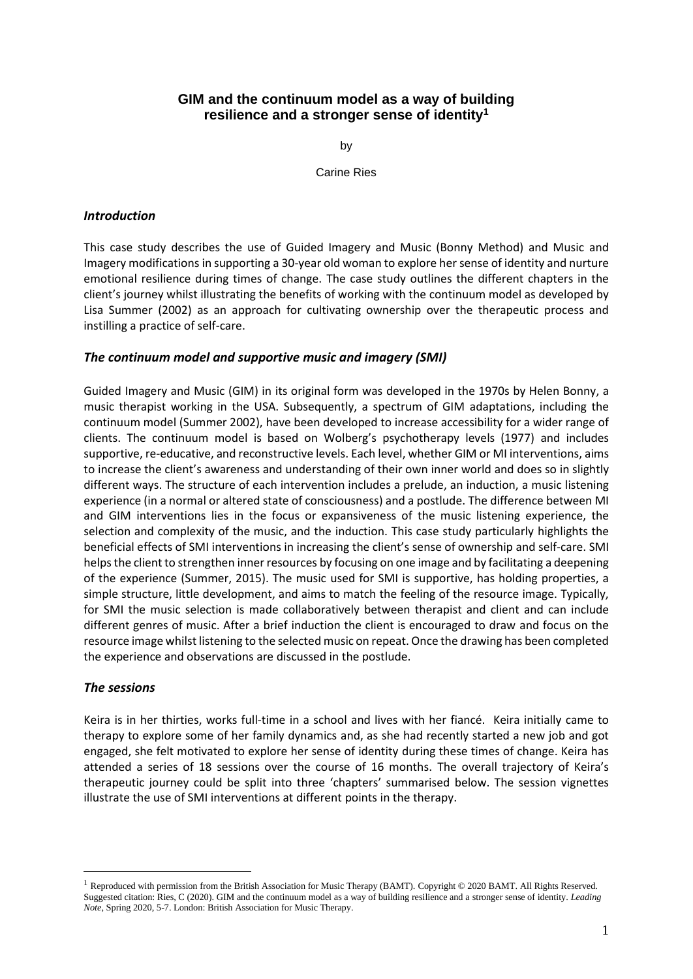# **GIM and the continuum model as a way of building resilience and a stronger sense of identity<sup>1</sup>**

by

Carine Ries

## *Introduction*

This case study describes the use of Guided Imagery and Music (Bonny Method) and Music and Imagery modifications in supporting a 30-year old woman to explore her sense of identity and nurture emotional resilience during times of change. The case study outlines the different chapters in the client's journey whilst illustrating the benefits of working with the continuum model as developed by Lisa Summer (2002) as an approach for cultivating ownership over the therapeutic process and instilling a practice of self-care.

### *The continuum model and supportive music and imagery (SMI)*

Guided Imagery and Music (GIM) in its original form was developed in the 1970s by Helen Bonny, a music therapist working in the USA. Subsequently, a spectrum of GIM adaptations, including the continuum model (Summer 2002), have been developed to increase accessibility for a wider range of clients. The continuum model is based on Wolberg's psychotherapy levels (1977) and includes supportive, re-educative, and reconstructive levels. Each level, whether GIM or MI interventions, aims to increase the client's awareness and understanding of their own inner world and does so in slightly different ways. The structure of each intervention includes a prelude, an induction, a music listening experience (in a normal or altered state of consciousness) and a postlude. The difference between MI and GIM interventions lies in the focus or expansiveness of the music listening experience, the selection and complexity of the music, and the induction. This case study particularly highlights the beneficial effects of SMI interventions in increasing the client's sense of ownership and self-care. SMI helps the client to strengthen inner resources by focusing on one image and by facilitating a deepening of the experience (Summer, 2015). The music used for SMI is supportive, has holding properties, a simple structure, little development, and aims to match the feeling of the resource image. Typically, for SMI the music selection is made collaboratively between therapist and client and can include different genres of music. After a brief induction the client is encouraged to draw and focus on the resource image whilst listening to the selected music on repeat. Once the drawing has been completed the experience and observations are discussed in the postlude.

### *The sessions*

Keira is in her thirties, works full-time in a school and lives with her fiancé. Keira initially came to therapy to explore some of her family dynamics and, as she had recently started a new job and got engaged, she felt motivated to explore her sense of identity during these times of change. Keira has attended a series of 18 sessions over the course of 16 months. The overall trajectory of Keira's therapeutic journey could be split into three 'chapters' summarised below. The session vignettes illustrate the use of SMI interventions at different points in the therapy.

<sup>&</sup>lt;sup>1</sup> Reproduced with permission from the British Association for Music Therapy (BAMT). Copyright © 2020 BAMT. All Rights Reserved. Suggested citation: Ries, C (2020). GIM and the continuum model as a way of building resilience and a stronger sense of identity. *Leading Note*, Spring 2020, 5-7. London: British Association for Music Therapy.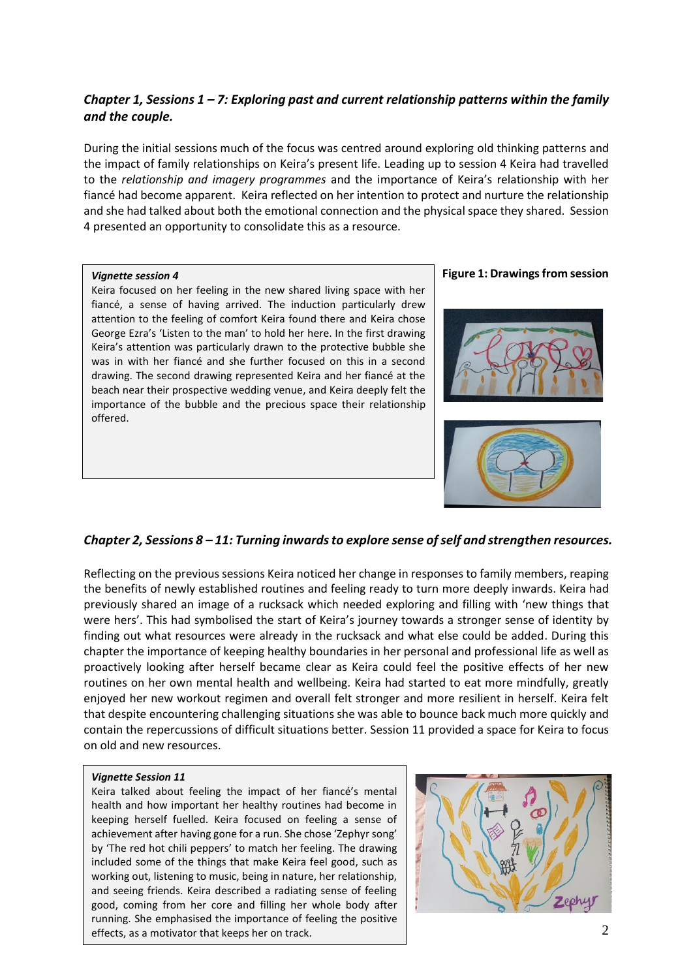# *Chapter 1, Sessions 1 – 7: Exploring past and current relationship patterns within the family and the couple.*

During the initial sessions much of the focus was centred around exploring old thinking patterns and the impact of family relationships on Keira's present life. Leading up to session 4 Keira had travelled to the *relationship and imagery programmes* and the importance of Keira's relationship with her fiancé had become apparent. Keira reflected on her intention to protect and nurture the relationship and she had talked about both the emotional connection and the physical space they shared. Session 4 presented an opportunity to consolidate this as a resource.

#### *Vignette session 4*

Keira focused on her feeling in the new shared living space with her fiancé, a sense of having arrived. The induction particularly drew attention to the feeling of comfort Keira found there and Keira chose George Ezra's 'Listen to the man' to hold her here. In the first drawing Keira's attention was particularly drawn to the protective bubble she was in with her fiancé and she further focused on this in a second drawing. The second drawing represented Keira and her fiancé at the beach near their prospective wedding venue, and Keira deeply felt the importance of the bubble and the precious space their relationship offered.

#### **Figure 1: Drawings from session**





### *Chapter 2, Sessions 8 – 11: Turning inwards to explore sense of self and strengthen resources.*

Reflecting on the previous sessions Keira noticed her change in responses to family members, reaping the benefits of newly established routines and feeling ready to turn more deeply inwards. Keira had previously shared an image of a rucksack which needed exploring and filling with 'new things that were hers'. This had symbolised the start of Keira's journey towards a stronger sense of identity by finding out what resources were already in the rucksack and what else could be added. During this chapter the importance of keeping healthy boundaries in her personal and professional life as well as proactively looking after herself became clear as Keira could feel the positive effects of her new routines on her own mental health and wellbeing. Keira had started to eat more mindfully, greatly enjoyed her new workout regimen and overall felt stronger and more resilient in herself. Keira felt that despite encountering challenging situations she was able to bounce back much more quickly and contain the repercussions of difficult situations better. Session 11 provided a space for Keira to focus on old and new resources.

#### *Vignette Session 11*

Keira talked about feeling the impact of her fiancé's mental health and how important her healthy routines had become in keeping herself fuelled. Keira focused on feeling a sense of achievement after having gone for a run. She chose 'Zephyr song' by 'The red hot chili peppers' to match her feeling. The drawing included some of the things that make Keira feel good, such as working out, listening to music, being in nature, her relationship, and seeing friends. Keira described a radiating sense of feeling good, coming from her core and filling her whole body after running. She emphasised the importance of feeling the positive effects, as a motivator that keeps her on track.